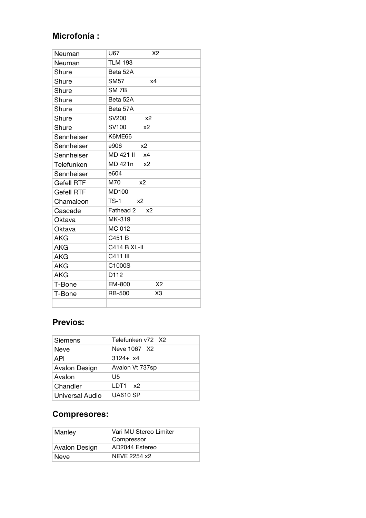# **Microfonía :**

| Neuman            | U67<br>X <sub>2</sub>       |
|-------------------|-----------------------------|
| Neuman            | <b>TLM 193</b>              |
| Shure             | Beta 52A                    |
| Shure             | <b>SM57</b><br>x4           |
| Shure             | SM <sub>7B</sub>            |
| Shure             | Beta 52A                    |
| Shure             | Beta 57A                    |
| Shure             | SV200<br>x <sub>2</sub>     |
| Shure             | SV100<br>x <sub>2</sub>     |
| Sennheiser        | K6ME66                      |
| Sennheiser        | e906<br>x <sub>2</sub>      |
| Sennheiser        | MD 421 II<br>x4             |
| Telefunken        | MD 421n<br>x <sub>2</sub>   |
| Sennheiser        | e604                        |
| <b>Gefell RTF</b> | M70<br>x <sub>2</sub>       |
| <b>Gefell RTF</b> | <b>MD100</b>                |
| Chamaleon         | $TS-1$<br>x2                |
| Cascade           | Fathead 2<br>x <sub>2</sub> |
| Oktava            | MK-319                      |
| Oktava            | MC 012                      |
| <b>AKG</b>        | C451 B                      |
| AKG               | <b>C414 B XL-II</b>         |
| AKG               | C411 III                    |
| <b>AKG</b>        | C1000S                      |
| <b>AKG</b>        | D112                        |
| T-Bone            | X2<br>EM-800                |
| T-Bone            | X3<br><b>RB-500</b>         |
|                   |                             |

# **Previos:**

| <b>Siemens</b>  | Telefunken v72 X2 |  |
|-----------------|-------------------|--|
| Neve            | Neve 1067 X2      |  |
| <b>API</b>      | $3124 + x4$       |  |
| Avalon Design   | Avalon Vt 737sp   |  |
| Avalon          | U5                |  |
| Chandler        | LDT1 x2           |  |
| Universal Audio | <b>UA610 SP</b>   |  |

## **Compresores:**

| Manley        | Vari MU Stereo Limiter<br>Compressor |
|---------------|--------------------------------------|
| Avalon Design | AD2044 Estereo                       |
| <b>Neve</b>   | NEVE 2254 x2                         |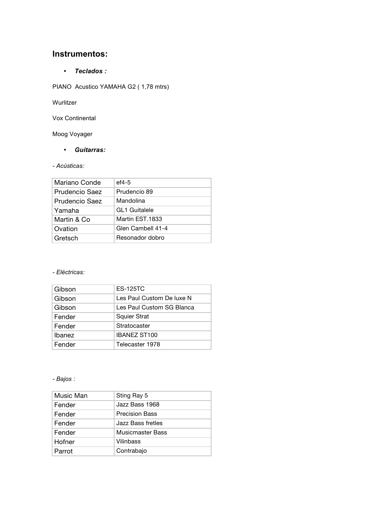### **Instrumentos:**

• *Teclados :*

PIANO Acustico YAMAHA G2 (1,78 mtrs)

Wurlitzer

Vox Continental

Moog Voyager

• *Guitarras:*

#### *- Acústicas:*

| Mariano Conde         | $ef4-5$              |
|-----------------------|----------------------|
| <b>Prudencio Saez</b> | Prudencio 89         |
| <b>Prudencio Saez</b> | Mandolina            |
| Yamaha                | <b>GL1 Guitalele</b> |
| Martin & Co           | Martin EST.1833      |
| Ovation               | Glen Cambell 41-4    |
| Gretsch               | Resonador dobro      |

#### *- Eléctricas:*

| Gibson        | <b>ES-125TC</b>           |
|---------------|---------------------------|
| Gibson        | Les Paul Custom De luxe N |
| Gibson        | Les Paul Custom SG Blanca |
| Fender        | <b>Squier Strat</b>       |
| Fender        | Stratocaster              |
| <b>Ibanez</b> | <b>IBANEZ ST100</b>       |
| Fender        | Telecaster 1978           |

#### *- Bajos :*

| Music Man | Sting Ray 5             |
|-----------|-------------------------|
| Fender    | Jazz Bass 1968          |
| Fender    | <b>Precision Bass</b>   |
| Fender    | Jazz Bass fretles       |
| Fender    | <b>Musicmaster Bass</b> |
| Hofner    | Vilinbass               |
| Parrot    | Contrabajo              |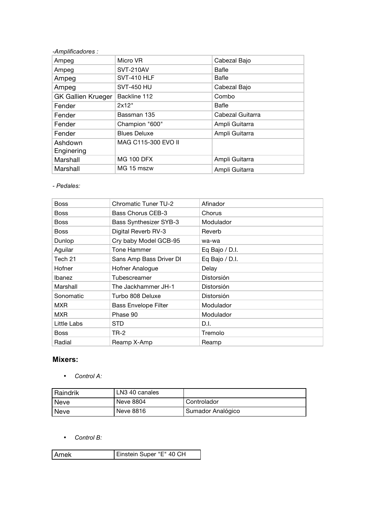| -Amplificadores :         |                     |                  |
|---------------------------|---------------------|------------------|
| Ampeg                     | Micro VR            | Cabezal Bajo     |
| Ampeg                     | <b>SVT-210AV</b>    | Bafle            |
| Ampeg                     | SVT-410 HLF         | Bafle            |
| Ampeg                     | <b>SVT-450 HU</b>   | Cabezal Bajo     |
| <b>GK Gallien Krueger</b> | Backline 112        | Combo            |
| Fender                    | 2x12"               | Bafle            |
| Fender                    | Bassman 135         | Cabezal Guitarra |
| Fender                    | Champion "600"      | Ampli Guitarra   |
| Fender                    | <b>Blues Deluxe</b> | Ampli Guitarra   |
| Ashdown                   | MAG C115-300 EVO II |                  |
| Enginering                |                     |                  |
| Marshall                  | <b>MG 100 DFX</b>   | Ampli Guitarra   |
| Marshall                  | MG 15 mszw          | Ampli Guitarra   |

*- Pedales:*

| <b>Boss</b> | <b>Chromatic Tuner TU-2</b>   | Afinador       |
|-------------|-------------------------------|----------------|
| Boss        | <b>Bass Chorus CEB-3</b>      | Chorus         |
| <b>Boss</b> | <b>Bass Synthesizer SYB-3</b> | Modulador      |
| <b>Boss</b> | Digital Reverb RV-3           | Reverb         |
| Dunlop      | Cry baby Model GCB-95         | wa-wa          |
| Aguilar     | Tone Hammer                   | Eq Bajo / D.I. |
| Tech 21     | Sans Amp Bass Driver DI       | Eq Bajo / D.I. |
| Hofner      | Hofner Analogue               | Delay          |
| Ibanez      | Tubescreamer                  | Distorsión     |
| Marshall    | The Jackhammer JH-1           | Distorsión     |
| Sonomatic   | Turbo 808 Deluxe              | Distorsión     |
| <b>MXR</b>  | <b>Bass Envelope Filter</b>   | Modulador      |
| <b>MXR</b>  | Phase 90                      | Modulador      |
| Little Labs | STD                           | D.I.           |
| <b>Boss</b> | TR-2                          | Tremolo        |
| Radial      | Reamp X-Amp                   | Reamp          |

### **Mixers:**

• *Control A:*

| Raindrik    | LN3 40 canales |                   |
|-------------|----------------|-------------------|
| Neve        | Neve 8804      | Controlador       |
| <b>Neve</b> | Neve 8816      | Sumador Analógico |

• *Control B:*

| Amek | Einstein Super "E" 40 CH |
|------|--------------------------|